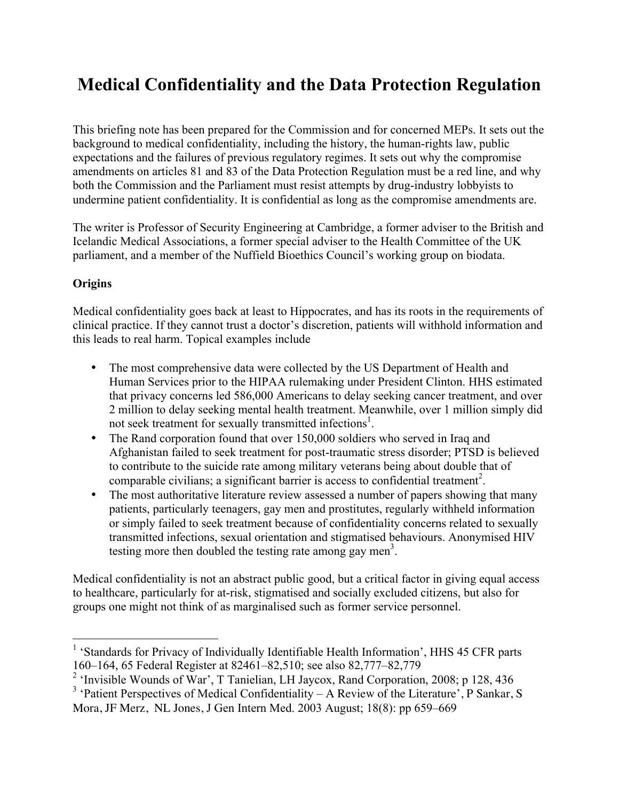# **Medical Confidentiality and the Data Protection Regulation**

This briefing note has been prepared for the Commission and for concerned MEPs. It sets out the background to medical confidentiality, including the history, the human-rights law, public expectations and the failures of previous regulatory regimes. It sets out why the compromise amendments on articles 81 and 83 of the Data Protection Regulation must be a red line, and why both the Commission and the Parliament must resist attempts by drug-industry lobbyists to undermine patient confidentiality. It is confidential as long as the compromise amendments are.

The writer is Professor of Security Engineering at Cambridge, a former adviser to the British and Icelandic Medical Associations, a former special adviser to the Health Committee of the UK parliament, and a member of the Nuffield Bioethics Council's working group on biodata.

## **Origins**

Medical confidentiality goes back at least to Hippocrates, and has its roots in the requirements of clinical practice. If they cannot trust a doctor's discretion, patients will withhold information and this leads to real harm. Topical examples include

- The most comprehensive data were collected by the US Department of Health and Human Services prior to the HIPAA rulemaking under President Clinton. HHS estimated that privacy concerns led 586,000 Americans to delay seeking cancer treatment, and over 2 million to delay seeking mental health treatment. Meanwhile, over 1 million simply did not seek treatment for sexually transmitted infections<sup>1</sup>.
- The Rand corporation found that over 150,000 soldiers who served in Iraq and Afghanistan failed to seek treatment for post-traumatic stress disorder; PTSD is believed to contribute to the suicide rate among military veterans being about double that of comparable civilians; a significant barrier is access to confidential treatment<sup>2</sup>.
- The most authoritative literature review assessed a number of papers showing that many patients, particularly teenagers, gay men and prostitutes, regularly withheld information or simply failed to seek treatment because of confidentiality concerns related to sexually transmitted infections, sexual orientation and stigmatised behaviours. Anonymised HIV testing more then doubled the testing rate among gay men<sup>3</sup>.

Medical confidentiality is not an abstract public good, but a critical factor in giving equal access to healthcare, particularly for at-risk, stigmatised and socially excluded citizens, but also for groups one might not think of as marginalised such as former service personnel.

<sup>&</sup>lt;sup>1</sup> 'Standards for Privacy of Individually Identifiable Health Information', HHS 45 CFR parts 160–164, 65 Federal Register at 82461–82,510; see also 82,777–82,779

<sup>&</sup>lt;sup>2</sup> 'Invisible Wounds of War', T Tanielian, LH Jaycox, Rand Corporation, 2008; p 128, 436

<sup>&</sup>lt;sup>3</sup> 'Patient Perspectives of Medical Confidentiality – A Review of the Literature', P Sankar, S

Mora, JF Merz, NL Jones, J Gen Intern Med. 2003 August; 18(8): pp 659–669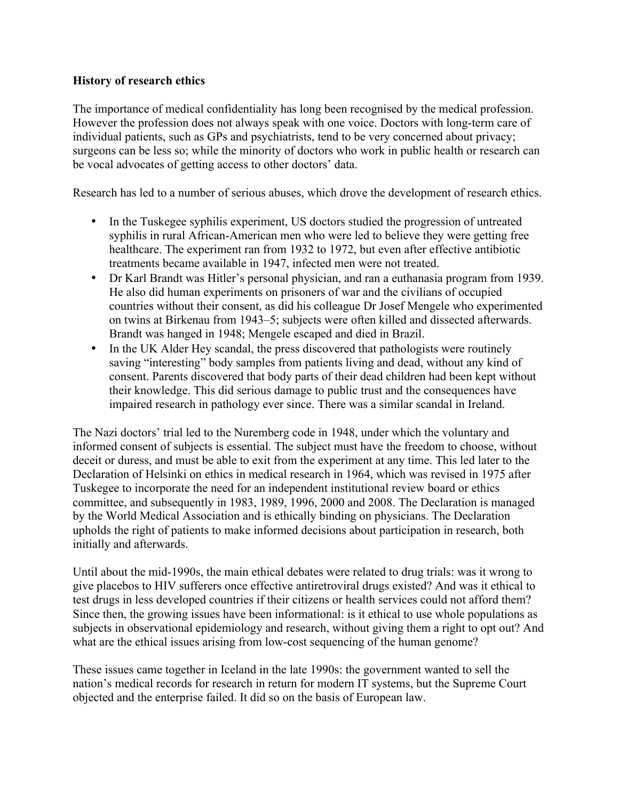### **History of research ethics**

The importance of medical confidentiality has long been recognised by the medical profession. However the profession does not always speak with one voice. Doctors with long-term care of individual patients, such as GPs and psychiatrists, tend to be very concerned about privacy; surgeons can be less so; while the minority of doctors who work in public health or research can be vocal advocates of getting access to other doctors' data.

Research has led to a number of serious abuses, which drove the development of research ethics.

- In the Tuskegee syphilis experiment, US doctors studied the progression of untreated syphilis in rural African-American men who were led to believe they were getting free healthcare. The experiment ran from 1932 to 1972, but even after effective antibiotic treatments became available in 1947, infected men were not treated.
- Dr Karl Brandt was Hitler's personal physician, and ran a euthanasia program from 1939. He also did human experiments on prisoners of war and the civilians of occupied countries without their consent, as did his colleague Dr Josef Mengele who experimented on twins at Birkenau from 1943–5; subjects were often killed and dissected afterwards. Brandt was hanged in 1948; Mengele escaped and died in Brazil.
- In the UK Alder Hey scandal, the press discovered that pathologists were routinely saving "interesting" body samples from patients living and dead, without any kind of consent. Parents discovered that body parts of their dead children had been kept without their knowledge. This did serious damage to public trust and the consequences have impaired research in pathology ever since. There was a similar scandal in Ireland.

The Nazi doctors' trial led to the Nuremberg code in 1948, under which the voluntary and informed consent of subjects is essential. The subject must have the freedom to choose, without deceit or duress, and must be able to exit from the experiment at any time. This led later to the Declaration of Helsinki on ethics in medical research in 1964, which was revised in 1975 after Tuskegee to incorporate the need for an independent institutional review board or ethics committee, and subsequently in 1983, 1989, 1996, 2000 and 2008. The Declaration is managed by the World Medical Association and is ethically binding on physicians. The Declaration upholds the right of patients to make informed decisions about participation in research, both initially and afterwards.

Until about the mid-1990s, the main ethical debates were related to drug trials: was it wrong to give placebos to HIV sufferers once effective antiretroviral drugs existed? And was it ethical to test drugs in less developed countries if their citizens or health services could not afford them? Since then, the growing issues have been informational: is it ethical to use whole populations as subjects in observational epidemiology and research, without giving them a right to opt out? And what are the ethical issues arising from low-cost sequencing of the human genome?

These issues came together in Iceland in the late 1990s: the government wanted to sell the nation's medical records for research in return for modern IT systems, but the Supreme Court objected and the enterprise failed. It did so on the basis of European law.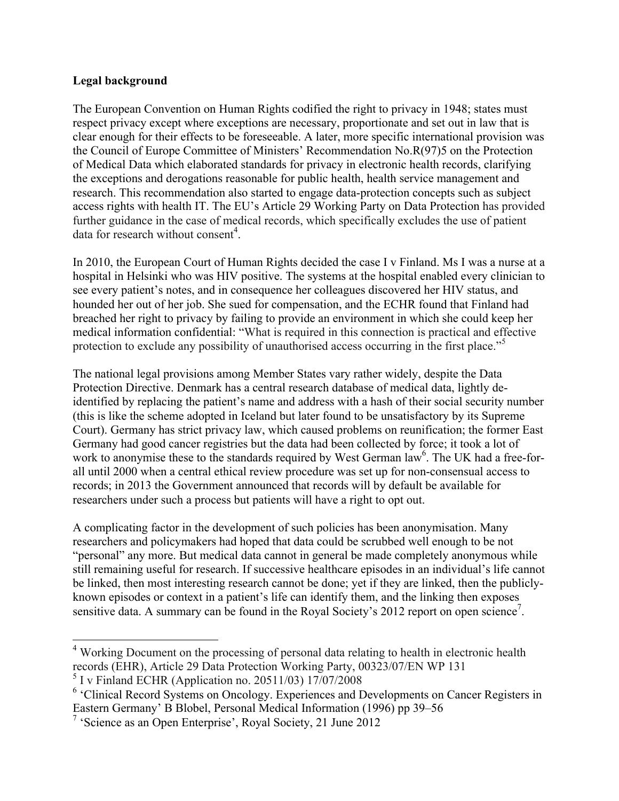## **Legal background**

The European Convention on Human Rights codified the right to privacy in 1948; states must respect privacy except where exceptions are necessary, proportionate and set out in law that is clear enough for their effects to be foreseeable. A later, more specific international provision was the Council of Europe Committee of Ministers' Recommendation No.R(97)5 on the Protection of Medical Data which elaborated standards for privacy in electronic health records, clarifying the exceptions and derogations reasonable for public health, health service management and research. This recommendation also started to engage data-protection concepts such as subject access rights with health IT. The EU's Article 29 Working Party on Data Protection has provided further guidance in the case of medical records, which specifically excludes the use of patient data for research without consent<sup>4</sup>.

In 2010, the European Court of Human Rights decided the case I v Finland. Ms I was a nurse at a hospital in Helsinki who was HIV positive. The systems at the hospital enabled every clinician to see every patient's notes, and in consequence her colleagues discovered her HIV status, and hounded her out of her job. She sued for compensation, and the ECHR found that Finland had breached her right to privacy by failing to provide an environment in which she could keep her medical information confidential: "What is required in this connection is practical and effective protection to exclude any possibility of unauthorised access occurring in the first place."<sup>5</sup>

The national legal provisions among Member States vary rather widely, despite the Data Protection Directive. Denmark has a central research database of medical data, lightly deidentified by replacing the patient's name and address with a hash of their social security number (this is like the scheme adopted in Iceland but later found to be unsatisfactory by its Supreme Court). Germany has strict privacy law, which caused problems on reunification; the former East Germany had good cancer registries but the data had been collected by force; it took a lot of work to anonymise these to the standards required by West German law<sup>6</sup>. The UK had a free-forall until 2000 when a central ethical review procedure was set up for non-consensual access to records; in 2013 the Government announced that records will by default be available for researchers under such a process but patients will have a right to opt out.

A complicating factor in the development of such policies has been anonymisation. Many researchers and policymakers had hoped that data could be scrubbed well enough to be not "personal" any more. But medical data cannot in general be made completely anonymous while still remaining useful for research. If successive healthcare episodes in an individual's life cannot be linked, then most interesting research cannot be done; yet if they are linked, then the publiclyknown episodes or context in a patient's life can identify them, and the linking then exposes sensitive data. A summary can be found in the Royal Society's 2012 report on open science<sup>7</sup>.

<sup>&</sup>lt;sup>4</sup> Working Document on the processing of personal data relating to health in electronic health records (EHR), Article 29 Data Protection Working Party, 00323/07/EN WP 131  $5$  I v Finland ECHR (Application no. 20511/03) 17/07/2008

<sup>&</sup>lt;sup>6</sup> 'Clinical Record Systems on Oncology. Experiences and Developments on Cancer Registers in Eastern Germany' B Blobel, Personal Medical Information (1996) pp 39–56

<sup>&</sup>lt;sup>7</sup> 'Science as an Open Enterprise', Royal Society, 21 June 2012